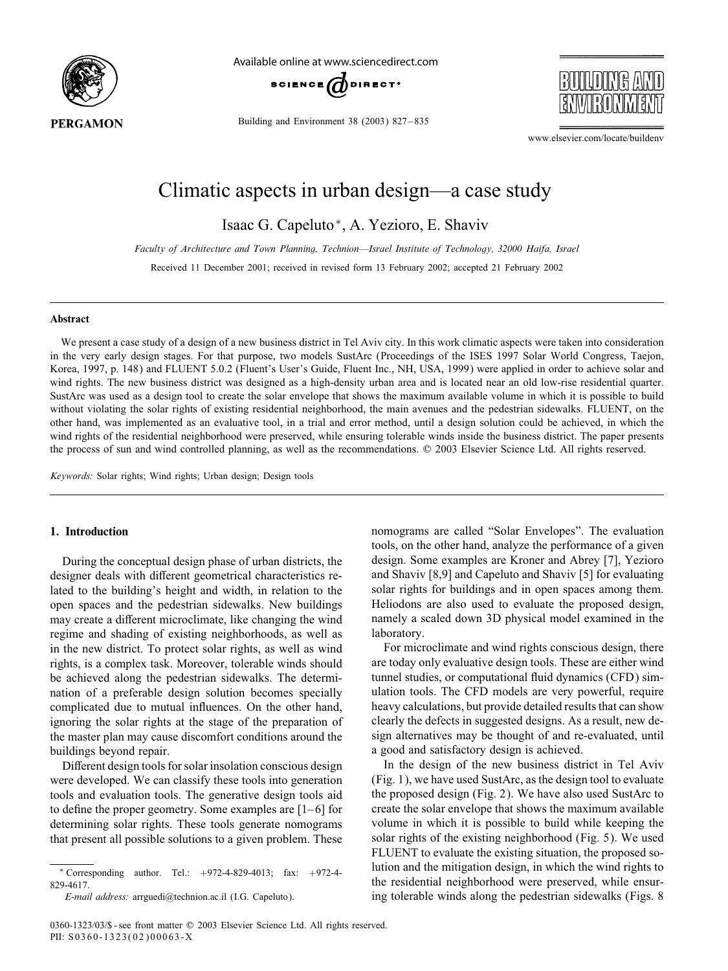

Available online at www.sciencedirect.com



Building and Environment 38 (2003) 827 – 835



www.elsevier.com/locate/buildenv

## Climatic aspects in urban design—a case study

Isaac G. Capeluto <sup>∗</sup>, A. Yezioro, E. Shaviv

*Faculty of Architecture and Town Planning, Technion—Israel Institute of Technology, 32000 Haifa, Israel*

Received 11 December 2001; received in revised form 13 February 2002; accepted 21 February 2002

#### Abstract

We present a case study of a design of a new business district in Tel Aviv city. In this work climatic aspects were taken into consideration in the very early design stages. For that purpose, two models SustArc (Proceedings of the ISES 1997 Solar World Congress, Taejon, Korea, 1997, p. 148) and FLUENT 5.0.2 (Fluent's User's Guide, Fluent Inc., NH, USA, 1999) were applied in order to achieve solar and wind rights. The new business district was designed as a high-density urban area and is located near an old low-rise residential quarter. SustArc was used as a design tool to create the solar envelope that shows the maximum available volume in which it is possible to build without violating the solar rights of existing residential neighborhood, the main avenues and the pedestrian sidewalks. FLUENT, on the other hand, was implemented as an evaluative tool, in a trial and error method, until a design solution could be achieved, in which the wind rights of the residential neighborhood were preserved, while ensuring tolerable winds inside the business district. The paper presents the process of sun and wind controlled planning, as well as the recommendations. © 2003 Elsevier Science Ltd. All rights reserved.

*Keywords:* Solar rights; Wind rights; Urban design; Design tools

### 1. Introduction

During the conceptual design phase of urban districts, the designer deals with different geometrical characteristics related to the building's height and width, in relation to the open spaces and the pedestrian sidewalks. New buildings may create a different microclimate, like changing the wind regime and shading of existing neighborhoods, as well as in the new district. To protect solar rights, as well as wind rights, is a complex task. Moreover, tolerable winds should be achieved along the pedestrian sidewalks. The determination of a preferable design solution becomes specially complicated due to mutual influences. On the other hand, ignoring the solar rights at the stage of the preparation of the master plan may cause discomfort conditions around the buildings beyond repair.

Different design tools for solar insolation conscious design were developed. We can classify these tools into generation tools and evaluation tools. The generative design tools aid to define the proper geometry. Some examples are  $[1-6]$  for determining solar rights. These tools generate nomograms that present all possible solutions to a given problem. These nomograms are called "Solar Envelopes". The evaluation tools, on the other hand, analyze the performance of a given design. Some examples are Kroner and Abrey [7], Yezioro and Shaviv [8,9] and Capeluto and Shaviv [5] for evaluating solar rights for buildings and in open spaces among them. Heliodons are also used to evaluate the proposed design, namely a scaled down 3D physical model examined in the laboratory.

For microclimate and wind rights conscious design, there are today only evaluative design tools. These are either wind tunnel studies, or computational fluid dynamics (CFD) simulation tools. The CFD models are very powerful, require heavy calculations, but provide detailed results that can show clearly the defects in suggested designs. As a result, new design alternatives may be thought of and re-evaluated, until a good and satisfactory design is achieved.

In the design of the new business district in Tel Aviv (Fig. 1), we have used SustArc, as the design tool to evaluate the proposed design (Fig. 2). We have also used SustArc to create the solar envelope that shows the maximum available volume in which it is possible to build while keeping the solar rights of the existing neighborhood (Fig. 5). We used FLUENT to evaluate the existing situation, the proposed solution and the mitigation design, in which the wind rights to the residential neighborhood were preserved, while ensuring tolerable winds along the pedestrian sidewalks (Figs. 8

<sup>∗</sup> Corresponding author. Tel.: +972-4-829-4013; fax: +972-4- 829-4617.

*E-mail address:* arrguedi@technion.ac.il (I.G. Capeluto).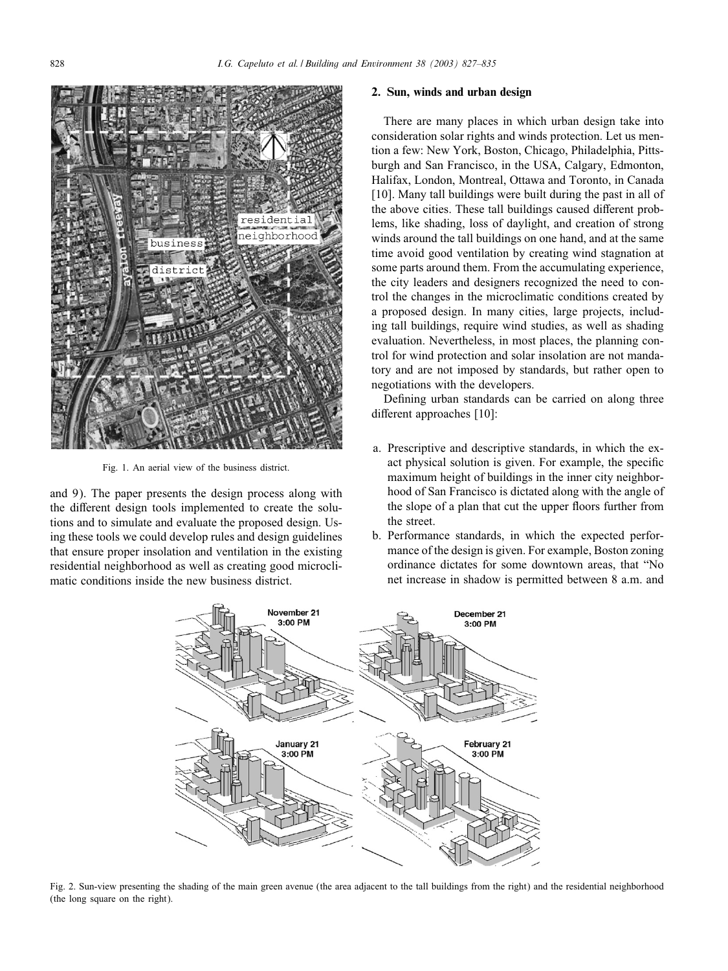

Fig. 1. An aerial view of the business district.

and 9). The paper presents the design process along with the different design tools implemented to create the solutions and to simulate and evaluate the proposed design. Using these tools we could developrules and design guidelines that ensure proper insolation and ventilation in the existing residential neighborhood as well as creating good microclimatic conditions inside the new business district.

#### 2. Sun, winds and urban design

There are many places in which urban design take into consideration solar rights and winds protection. Let us mention a few: New York, Boston, Chicago, Philadelphia, Pittsburgh and San Francisco, in the USA, Calgary, Edmonton, Halifax, London, Montreal, Ottawa and Toronto, in Canada [10]. Many tall buildings were built during the past in all of the above cities. These tall buildings caused different problems, like shading, loss of daylight, and creation of strong winds around the tall buildings on one hand, and at the same time avoid good ventilation by creating wind stagnation at some parts around them. From the accumulating experience, the city leaders and designers recognized the need to control the changes in the microclimatic conditions created by a proposed design. In many cities, large projects, including tall buildings, require wind studies, as well as shading evaluation. Nevertheless, in most places, the planning control for wind protection and solar insolation are not mandatory and are not imposed by standards, but rather open to negotiations with the developers.

Defining urban standards can be carried on along three different approaches [10]:

- a. Prescriptive and descriptive standards, in which the exact physical solution is given. For example, the specific maximum height of buildings in the inner city neighborhood of San Francisco is dictated along with the angle of the slope of a plan that cut the upper floors further from the street.
- b. Performance standards, in which the expected performance of the design is given. For example, Boston zoning ordinance dictates for some downtown areas, that "No net increase in shadow is permitted between 8 a.m. and



Fig. 2. Sun-view presenting the shading of the main green avenue (the area adjacent to the tall buildings from the right) and the residential neighborhood (the long square on the right).